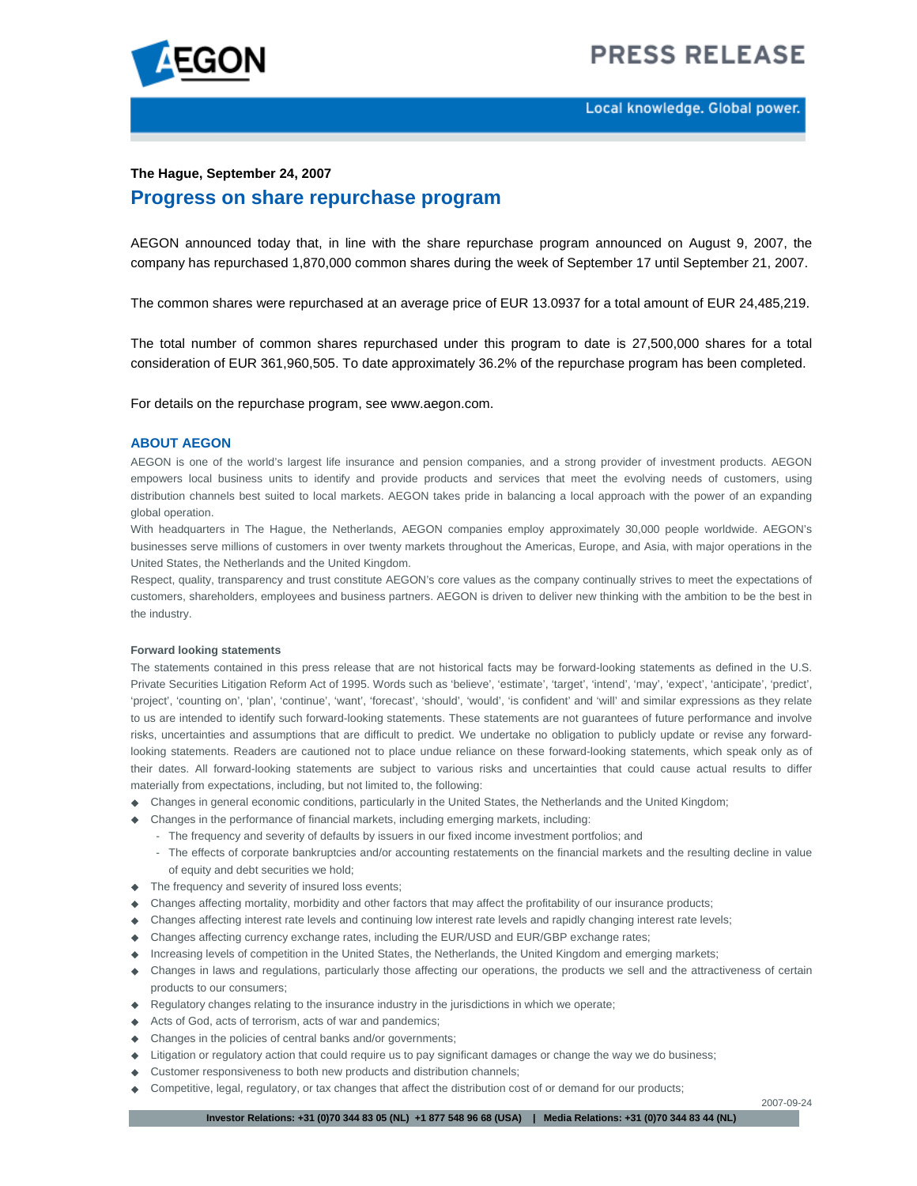

# **PRESS RELEASE**

### **The Hague, September 24, 2007**

## **Progress on share repurchase program**

AEGON announced today that, in line with the share repurchase program announced on August 9, 2007, the company has repurchased 1,870,000 common shares during the week of September 17 until September 21, 2007.

The common shares were repurchased at an average price of EUR 13.0937 for a total amount of EUR 24,485,219.

The total number of common shares repurchased under this program to date is 27,500,000 shares for a total consideration of EUR 361,960,505. To date approximately 36.2% of the repurchase program has been completed.

For details on the repurchase program, see www.aegon.com.

#### **ABOUT AEGON**

AEGON is one of the world's largest life insurance and pension companies, and a strong provider of investment products. AEGON empowers local business units to identify and provide products and services that meet the evolving needs of customers, using distribution channels best suited to local markets. AEGON takes pride in balancing a local approach with the power of an expanding global operation.

With headquarters in The Hague, the Netherlands, AEGON companies employ approximately 30,000 people worldwide. AEGON's businesses serve millions of customers in over twenty markets throughout the Americas, Europe, and Asia, with major operations in the United States, the Netherlands and the United Kingdom.

Respect, quality, transparency and trust constitute AEGON's core values as the company continually strives to meet the expectations of customers, shareholders, employees and business partners. AEGON is driven to deliver new thinking with the ambition to be the best in the industry.

#### **Forward looking statements**

The statements contained in this press release that are not historical facts may be forward-looking statements as defined in the U.S. Private Securities Litigation Reform Act of 1995. Words such as 'believe', 'estimate', 'target', 'intend', 'may', 'expect', 'anticipate', 'predict', 'project', 'counting on', 'plan', 'continue', 'want', 'forecast', 'should', 'would', 'is confident' and 'will' and similar expressions as they relate to us are intended to identify such forward-looking statements. These statements are not guarantees of future performance and involve risks, uncertainties and assumptions that are difficult to predict. We undertake no obligation to publicly update or revise any forwardlooking statements. Readers are cautioned not to place undue reliance on these forward-looking statements, which speak only as of their dates. All forward-looking statements are subject to various risks and uncertainties that could cause actual results to differ materially from expectations, including, but not limited to, the following:

- Changes in general economic conditions, particularly in the United States, the Netherlands and the United Kingdom;
- Changes in the performance of financial markets, including emerging markets, including:
	- The frequency and severity of defaults by issuers in our fixed income investment portfolios; and
	- The effects of corporate bankruptcies and/or accounting restatements on the financial markets and the resulting decline in value of equity and debt securities we hold;
- $\triangle$  The frequency and severity of insured loss events;
- Changes affecting mortality, morbidity and other factors that may affect the profitability of our insurance products;
- Changes affecting interest rate levels and continuing low interest rate levels and rapidly changing interest rate levels;
- Changes affecting currency exchange rates, including the EUR/USD and EUR/GBP exchange rates;
- Increasing levels of competition in the United States, the Netherlands, the United Kingdom and emerging markets;
- Changes in laws and regulations, particularly those affecting our operations, the products we sell and the attractiveness of certain products to our consumers;
- $\blacklozenge$  Regulatory changes relating to the insurance industry in the jurisdictions in which we operate;
- Acts of God, acts of terrorism, acts of war and pandemics;
- Changes in the policies of central banks and/or governments;
- Litigation or regulatory action that could require us to pay significant damages or change the way we do business;
- Customer responsiveness to both new products and distribution channels;
- Competitive, legal, regulatory, or tax changes that affect the distribution cost of or demand for our products;

2007-09-24